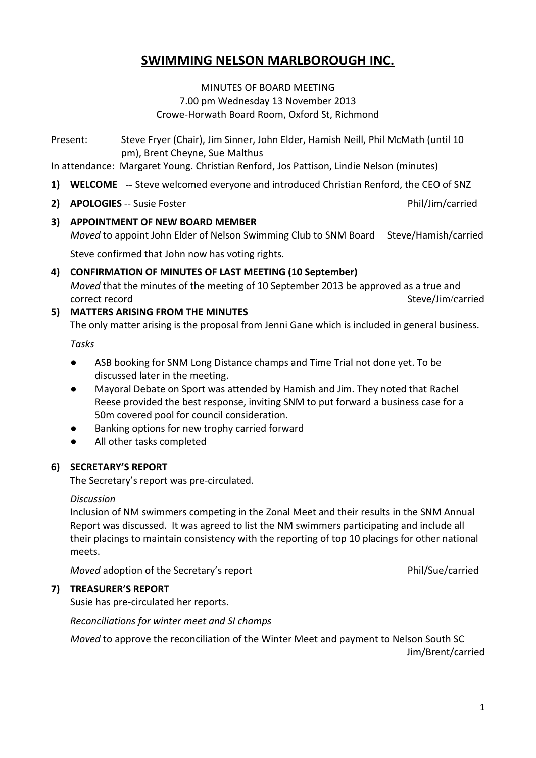## **SWIMMING NELSON MARLBOROUGH INC.**

MINUTES OF BOARD MEETING 7.00 pm Wednesday 13 November 2013 Crowe-Horwath Board Room, Oxford St, Richmond

Present: Steve Fryer (Chair), Jim Sinner, John Elder, Hamish Neill, Phil McMath (until 10 pm), Brent Cheyne, Sue Malthus

In attendance: Margaret Young. Christian Renford, Jos Pattison, Lindie Nelson (minutes)

- **1) WELCOME --** Steve welcomed everyone and introduced Christian Renford, the CEO of SNZ
- **2) APOLOGIES** -- Susie Foster Phil/Jim/carried
- **3) APPOINTMENT OF NEW BOARD MEMBER**

*Moved* to appoint John Elder of Nelson Swimming Club to SNM Board Steve/Hamish/carried

Steve confirmed that John now has voting rights.

- **4) CONFIRMATION OF MINUTES OF LAST MEETING (10 September)** *Moved* that the minutes of the meeting of 10 September 2013 be approved as a true and correct record and the steve of the steve of the Steve/Jim/carried Steve/Jim/carried
- **5) MATTERS ARISING FROM THE MINUTES**

The only matter arising is the proposal from Jenni Gane which is included in general business.

*Tasks*

- ASB booking for SNM Long Distance champs and Time Trial not done yet. To be discussed later in the meeting.
- Mayoral Debate on Sport was attended by Hamish and Jim. They noted that Rachel Reese provided the best response, inviting SNM to put forward a business case for a 50m covered pool for council consideration.
- Banking options for new trophy carried forward
- All other tasks completed

## **6) SECRETARY'S REPORT**

The Secretary's report was pre-circulated.

## *Discussion*

Inclusion of NM swimmers competing in the Zonal Meet and their results in the SNM Annual Report was discussed. It was agreed to list the NM swimmers participating and include all their placings to maintain consistency with the reporting of top 10 placings for other national meets.

*Moved* adoption of the Secretary's report **Phil/Sue/carried** 

## **7) TREASURER'S REPORT**

Susie has pre-circulated her reports.

*Reconciliations for winter meet and SI champs*

*Moved* to approve the reconciliation of the Winter Meet and payment to Nelson South SC Jim/Brent/carried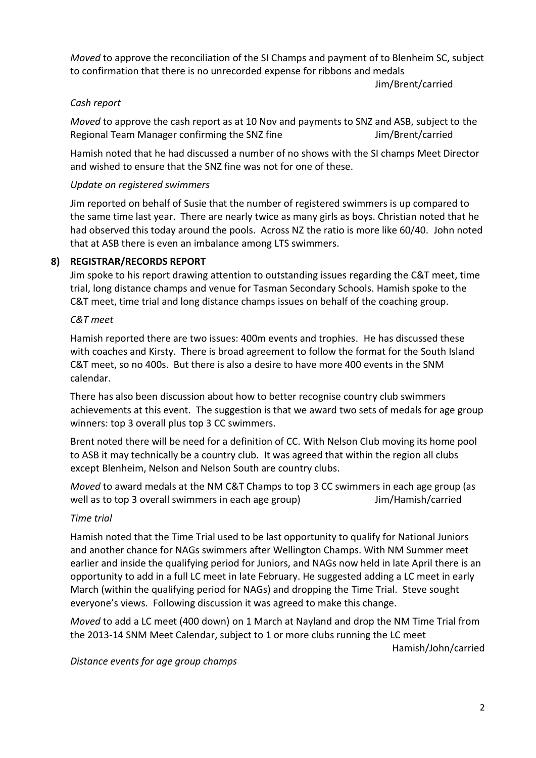*Moved* to approve the reconciliation of the SI Champs and payment of to Blenheim SC, subject to confirmation that there is no unrecorded expense for ribbons and medals

Jim/Brent/carried

## *Cash report*

*Moved* to approve the cash report as at 10 Nov and payments to SNZ and ASB, subject to the Regional Team Manager confirming the SNZ fine The Manager of the Jim/Brent/carried

Hamish noted that he had discussed a number of no shows with the SI champs Meet Director and wished to ensure that the SNZ fine was not for one of these.

## *Update on registered swimmers*

Jim reported on behalf of Susie that the number of registered swimmers is up compared to the same time last year. There are nearly twice as many girls as boys. Christian noted that he had observed this today around the pools. Across NZ the ratio is more like 60/40. John noted that at ASB there is even an imbalance among LTS swimmers.

## **8) REGISTRAR/RECORDS REPORT**

Jim spoke to his report drawing attention to outstanding issues regarding the C&T meet, time trial, long distance champs and venue for Tasman Secondary Schools. Hamish spoke to the C&T meet, time trial and long distance champs issues on behalf of the coaching group.

#### *C&T meet*

Hamish reported there are two issues: 400m events and trophies. He has discussed these with coaches and Kirsty. There is broad agreement to follow the format for the South Island C&T meet, so no 400s. But there is also a desire to have more 400 events in the SNM calendar.

There has also been discussion about how to better recognise country club swimmers achievements at this event. The suggestion is that we award two sets of medals for age group winners: top 3 overall plus top 3 CC swimmers.

Brent noted there will be need for a definition of CC. With Nelson Club moving its home pool to ASB it may technically be a country club. It was agreed that within the region all clubs except Blenheim, Nelson and Nelson South are country clubs.

*Moved* to award medals at the NM C&T Champs to top 3 CC swimmers in each age group (as well as to top 3 overall swimmers in each age group) Jim/Hamish/carried

## *Time trial*

Hamish noted that the Time Trial used to be last opportunity to qualify for National Juniors and another chance for NAGs swimmers after Wellington Champs. With NM Summer meet earlier and inside the qualifying period for Juniors, and NAGs now held in late April there is an opportunity to add in a full LC meet in late February. He suggested adding a LC meet in early March (within the qualifying period for NAGs) and dropping the Time Trial. Steve sought everyone's views. Following discussion it was agreed to make this change.

*Moved* to add a LC meet (400 down) on 1 March at Nayland and drop the NM Time Trial from the 2013-14 SNM Meet Calendar, subject to 1 or more clubs running the LC meet

Hamish/John/carried

*Distance events for age group champs*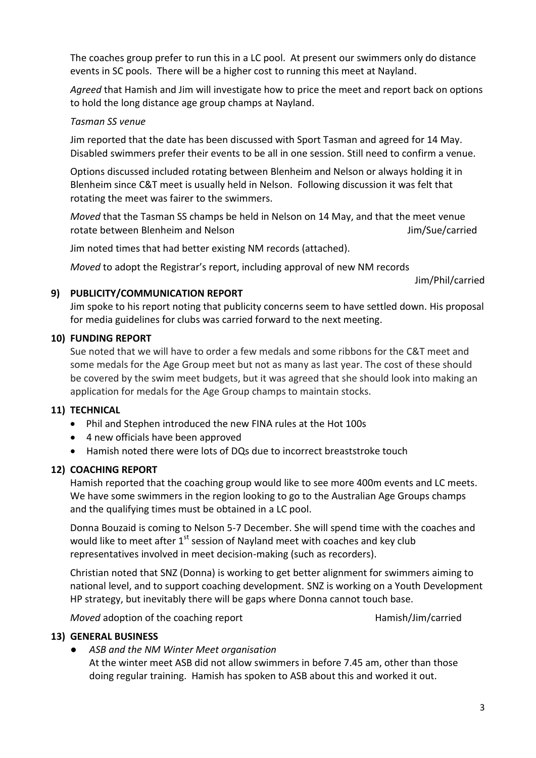The coaches group prefer to run this in a LC pool. At present our swimmers only do distance events in SC pools. There will be a higher cost to running this meet at Nayland.

*Agreed* that Hamish and Jim will investigate how to price the meet and report back on options to hold the long distance age group champs at Nayland.

#### *Tasman SS venue*

Jim reported that the date has been discussed with Sport Tasman and agreed for 14 May. Disabled swimmers prefer their events to be all in one session. Still need to confirm a venue.

Options discussed included rotating between Blenheim and Nelson or always holding it in Blenheim since C&T meet is usually held in Nelson. Following discussion it was felt that rotating the meet was fairer to the swimmers.

*Moved* that the Tasman SS champs be held in Nelson on 14 May, and that the meet venue rotate between Blenheim and Nelson Jim/Sue/carried

Jim noted times that had better existing NM records (attached).

*Moved* to adopt the Registrar's report, including approval of new NM records

Jim/Phil/carried

#### **9) PUBLICITY/COMMUNICATION REPORT**

Jim spoke to his report noting that publicity concerns seem to have settled down. His proposal for media guidelines for clubs was carried forward to the next meeting.

#### **10) FUNDING REPORT**

Sue noted that we will have to order a few medals and some ribbons for the C&T meet and some medals for the Age Group meet but not as many as last year. The cost of these should be covered by the swim meet budgets, but it was agreed that she should look into making an application for medals for the Age Group champs to maintain stocks.

## **11) TECHNICAL**

- Phil and Stephen introduced the new FINA rules at the Hot 100s
- 4 new officials have been approved
- Hamish noted there were lots of DQs due to incorrect breaststroke touch

#### **12) COACHING REPORT**

Hamish reported that the coaching group would like to see more 400m events and LC meets. We have some swimmers in the region looking to go to the Australian Age Groups champs and the qualifying times must be obtained in a LC pool.

Donna Bouzaid is coming to Nelson 5-7 December. She will spend time with the coaches and would like to meet after 1<sup>st</sup> session of Nayland meet with coaches and key club representatives involved in meet decision-making (such as recorders).

Christian noted that SNZ (Donna) is working to get better alignment for swimmers aiming to national level, and to support coaching development. SNZ is working on a Youth Development HP strategy, but inevitably there will be gaps where Donna cannot touch base.

*Moved* adoption of the coaching report **Hamish/Jim/carried** 

## **13) GENERAL BUSINESS**

● *ASB and the NM Winter Meet organisation*

At the winter meet ASB did not allow swimmers in before 7.45 am, other than those doing regular training. Hamish has spoken to ASB about this and worked it out.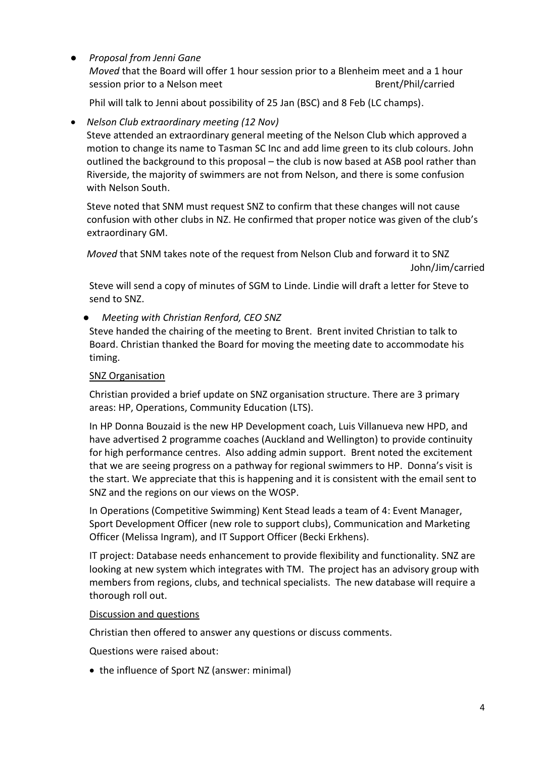## ● *Proposal from Jenni Gane*

*Moved* that the Board will offer 1 hour session prior to a Blenheim meet and a 1 hour session prior to a Nelson meet Brent/Phil/carried

Phil will talk to Jenni about possibility of 25 Jan (BSC) and 8 Feb (LC champs).

## *Nelson Club extraordinary meeting (12 Nov)*

Steve attended an extraordinary general meeting of the Nelson Club which approved a motion to change its name to Tasman SC Inc and add lime green to its club colours. John outlined the background to this proposal – the club is now based at ASB pool rather than Riverside, the majority of swimmers are not from Nelson, and there is some confusion with Nelson South.

Steve noted that SNM must request SNZ to confirm that these changes will not cause confusion with other clubs in NZ. He confirmed that proper notice was given of the club's extraordinary GM.

*Moved* that SNM takes note of the request from Nelson Club and forward it to SNZ John/Jim/carried

Steve will send a copy of minutes of SGM to Linde. Lindie will draft a letter for Steve to send to SNZ.

## ● *Meeting with Christian Renford, CEO SNZ*

Steve handed the chairing of the meeting to Brent. Brent invited Christian to talk to Board. Christian thanked the Board for moving the meeting date to accommodate his timing.

## SNZ Organisation

Christian provided a brief update on SNZ organisation structure. There are 3 primary areas: HP, Operations, Community Education (LTS).

In HP Donna Bouzaid is the new HP Development coach, Luis Villanueva new HPD, and have advertised 2 programme coaches (Auckland and Wellington) to provide continuity for high performance centres. Also adding admin support. Brent noted the excitement that we are seeing progress on a pathway for regional swimmers to HP. Donna's visit is the start. We appreciate that this is happening and it is consistent with the email sent to SNZ and the regions on our views on the WOSP.

In Operations (Competitive Swimming) Kent Stead leads a team of 4: Event Manager, Sport Development Officer (new role to support clubs), Communication and Marketing Officer (Melissa Ingram), and IT Support Officer (Becki Erkhens).

IT project: Database needs enhancement to provide flexibility and functionality. SNZ are looking at new system which integrates with TM. The project has an advisory group with members from regions, clubs, and technical specialists. The new database will require a thorough roll out.

## Discussion and questions

Christian then offered to answer any questions or discuss comments.

Questions were raised about:

• the influence of Sport NZ (answer: minimal)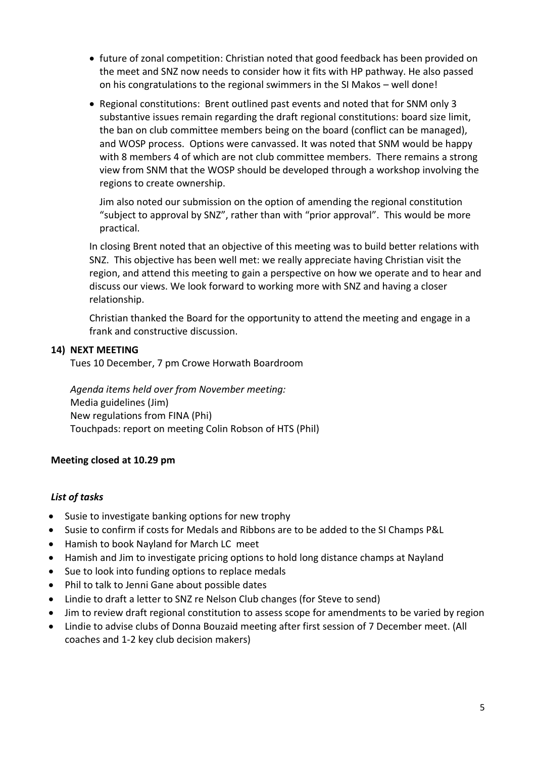- future of zonal competition: Christian noted that good feedback has been provided on the meet and SNZ now needs to consider how it fits with HP pathway. He also passed on his congratulations to the regional swimmers in the SI Makos – well done!
- Regional constitutions: Brent outlined past events and noted that for SNM only 3 substantive issues remain regarding the draft regional constitutions: board size limit, the ban on club committee members being on the board (conflict can be managed), and WOSP process. Options were canvassed. It was noted that SNM would be happy with 8 members 4 of which are not club committee members. There remains a strong view from SNM that the WOSP should be developed through a workshop involving the regions to create ownership.

Jim also noted our submission on the option of amending the regional constitution "subject to approval by SNZ", rather than with "prior approval". This would be more practical.

In closing Brent noted that an objective of this meeting was to build better relations with SNZ. This objective has been well met: we really appreciate having Christian visit the region, and attend this meeting to gain a perspective on how we operate and to hear and discuss our views. We look forward to working more with SNZ and having a closer relationship.

Christian thanked the Board for the opportunity to attend the meeting and engage in a frank and constructive discussion.

#### **14) NEXT MEETING**

Tues 10 December, 7 pm Crowe Horwath Boardroom

*Agenda items held over from November meeting:*  Media guidelines (Jim) New regulations from FINA (Phi) Touchpads: report on meeting Colin Robson of HTS (Phil)

## **Meeting closed at 10.29 pm**

## *List of tasks*

- Susie to investigate banking options for new trophy
- Susie to confirm if costs for Medals and Ribbons are to be added to the SI Champs P&L
- Hamish to book Nayland for March LC meet
- Hamish and Jim to investigate pricing options to hold long distance champs at Nayland
- Sue to look into funding options to replace medals
- Phil to talk to Jenni Gane about possible dates
- Lindie to draft a letter to SNZ re Nelson Club changes (for Steve to send)
- Jim to review draft regional constitution to assess scope for amendments to be varied by region
- Lindie to advise clubs of Donna Bouzaid meeting after first session of 7 December meet. (All coaches and 1-2 key club decision makers)